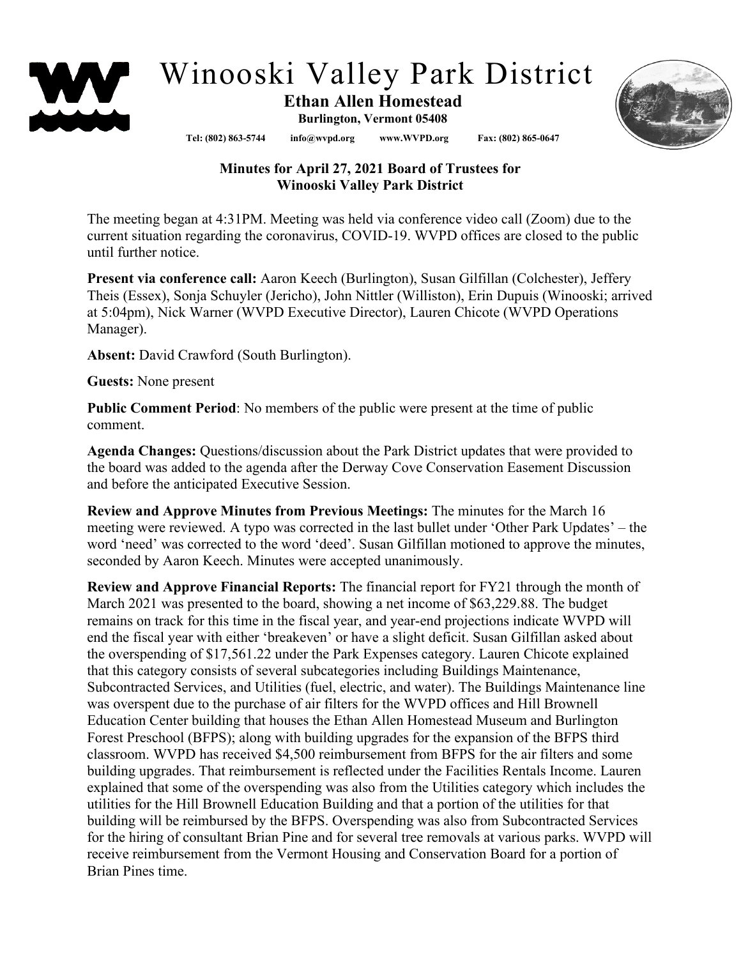

## Winooski Valley Park District

## **Ethan Allen Homestead Burlington, Vermont 05408**

**Tel: (802) 863-5744 info@wvpd.org [www.WVPD.org](http://www.wvpd.org/) Fax: (802) 865-0647** 



## **Minutes for April 27, 2021 Board of Trustees for Winooski Valley Park District**

The meeting began at 4:31PM. Meeting was held via conference video call (Zoom) due to the current situation regarding the coronavirus, COVID-19. WVPD offices are closed to the public until further notice.

**Present via conference call:** Aaron Keech (Burlington), Susan Gilfillan (Colchester), Jeffery Theis (Essex), Sonja Schuyler (Jericho), John Nittler (Williston), Erin Dupuis (Winooski; arrived at 5:04pm), Nick Warner (WVPD Executive Director), Lauren Chicote (WVPD Operations Manager).

**Absent:** David Crawford (South Burlington).

**Guests:** None present

**Public Comment Period**: No members of the public were present at the time of public comment.

**Agenda Changes:** Questions/discussion about the Park District updates that were provided to the board was added to the agenda after the Derway Cove Conservation Easement Discussion and before the anticipated Executive Session.

**Review and Approve Minutes from Previous Meetings:** The minutes for the March 16 meeting were reviewed. A typo was corrected in the last bullet under 'Other Park Updates' – the word 'need' was corrected to the word 'deed'. Susan Gilfillan motioned to approve the minutes, seconded by Aaron Keech. Minutes were accepted unanimously.

**Review and Approve Financial Reports:** The financial report for FY21 through the month of March 2021 was presented to the board, showing a net income of \$63,229.88. The budget remains on track for this time in the fiscal year, and year-end projections indicate WVPD will end the fiscal year with either 'breakeven' or have a slight deficit. Susan Gilfillan asked about the overspending of \$17,561.22 under the Park Expenses category. Lauren Chicote explained that this category consists of several subcategories including Buildings Maintenance, Subcontracted Services, and Utilities (fuel, electric, and water). The Buildings Maintenance line was overspent due to the purchase of air filters for the WVPD offices and Hill Brownell Education Center building that houses the Ethan Allen Homestead Museum and Burlington Forest Preschool (BFPS); along with building upgrades for the expansion of the BFPS third classroom. WVPD has received \$4,500 reimbursement from BFPS for the air filters and some building upgrades. That reimbursement is reflected under the Facilities Rentals Income. Lauren explained that some of the overspending was also from the Utilities category which includes the utilities for the Hill Brownell Education Building and that a portion of the utilities for that building will be reimbursed by the BFPS. Overspending was also from Subcontracted Services for the hiring of consultant Brian Pine and for several tree removals at various parks. WVPD will receive reimbursement from the Vermont Housing and Conservation Board for a portion of Brian Pines time.